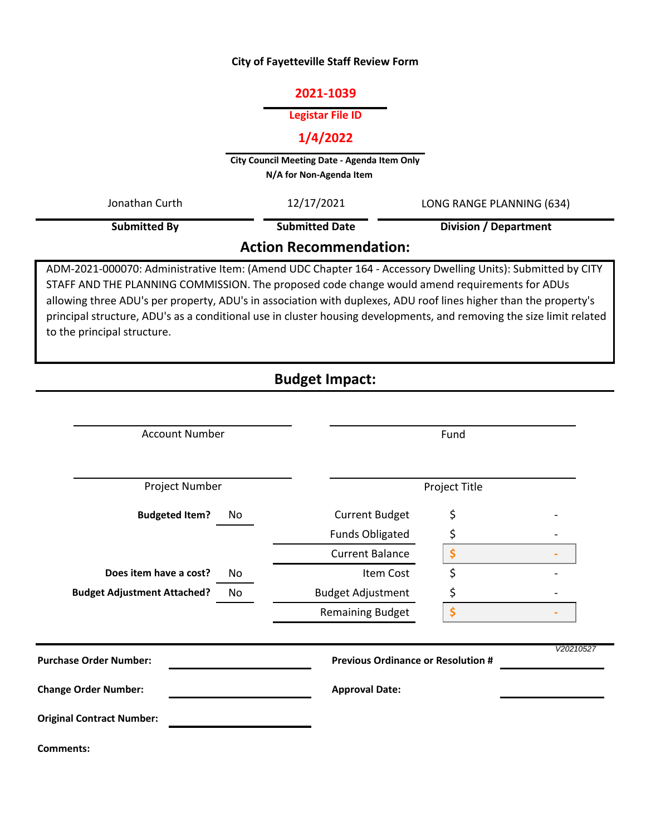### **City of Fayetteville Staff Review Form**

# **2021-1039**

### **Legistar File ID**

# **1/4/2022**

**City Council Meeting Date - Agenda Item Only N/A for Non-Agenda Item** 

|                | <b>Action Recommendation:</b> |                              |  |
|----------------|-------------------------------|------------------------------|--|
| Submitted By   | <b>Submitted Date</b>         | <b>Division / Department</b> |  |
| Jonathan Curth | 12/17/2021                    | LONG RANGE PLANNING (634)    |  |
|                |                               |                              |  |

# ADM-2021-000070: Administrative Item: (Amend UDC Chapter 164 - Accessory Dwelling Units): Submitted by CITY STAFF AND THE PLANNING COMMISSION. The proposed code change would amend requirements for ADUs

allowing three ADU's per property, ADU's in association with duplexes, ADU roof lines higher than the property's principal structure, ADU's as a conditional use in cluster housing developments, and removing the size limit related to the principal structure.

# **Budget Impact:**

| <b>Account Number</b>                                                      |    | Fund                     |    |  |  |
|----------------------------------------------------------------------------|----|--------------------------|----|--|--|
| Project Number                                                             |    | Project Title            |    |  |  |
| <b>Budgeted Item?</b>                                                      | No | <b>Current Budget</b>    | \$ |  |  |
|                                                                            |    | <b>Funds Obligated</b>   | \$ |  |  |
|                                                                            |    | <b>Current Balance</b>   | \$ |  |  |
| Does item have a cost?                                                     | No | Item Cost                | \$ |  |  |
| <b>Budget Adjustment Attached?</b>                                         | No | <b>Budget Adjustment</b> | \$ |  |  |
|                                                                            |    | <b>Remaining Budget</b>  | \$ |  |  |
| <b>Purchase Order Number:</b><br><b>Previous Ordinance or Resolution #</b> |    | V20210527                |    |  |  |
| <b>Change Order Number:</b>                                                |    | <b>Approval Date:</b>    |    |  |  |
| <b>Original Contract Number:</b>                                           |    |                          |    |  |  |
| <b>Comments:</b>                                                           |    |                          |    |  |  |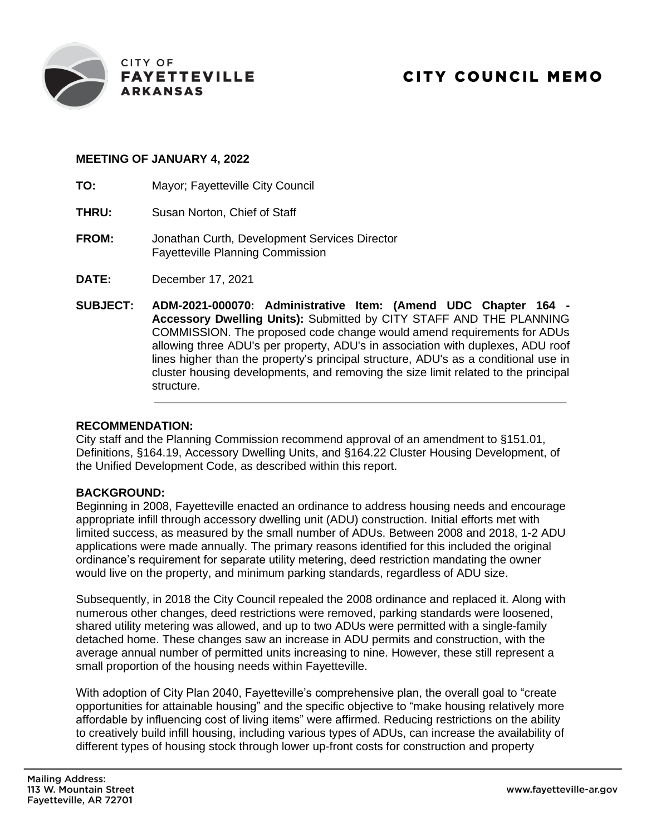

# **MEETING OF JANUARY 4, 2022**

- **TO:** Mayor; Fayetteville City Council
- **THRU:** Susan Norton, Chief of Staff
- **FROM:** Jonathan Curth, Development Services Director Fayetteville Planning Commission
- **DATE:** December 17, 2021
- **SUBJECT: ADM-2021-000070: Administrative Item: (Amend UDC Chapter 164 - Accessory Dwelling Units):** Submitted by CITY STAFF AND THE PLANNING COMMISSION. The proposed code change would amend requirements for ADUs allowing three ADU's per property, ADU's in association with duplexes, ADU roof lines higher than the property's principal structure, ADU's as a conditional use in cluster housing developments, and removing the size limit related to the principal structure.

# **RECOMMENDATION:**

City staff and the Planning Commission recommend approval of an amendment to §151.01, Definitions, §164.19, Accessory Dwelling Units, and §164.22 Cluster Housing Development, of the Unified Development Code, as described within this report.

# **BACKGROUND:**

Beginning in 2008, Fayetteville enacted an ordinance to address housing needs and encourage appropriate infill through accessory dwelling unit (ADU) construction. Initial efforts met with limited success, as measured by the small number of ADUs. Between 2008 and 2018, 1-2 ADU applications were made annually. The primary reasons identified for this included the original ordinance's requirement for separate utility metering, deed restriction mandating the owner would live on the property, and minimum parking standards, regardless of ADU size.

Subsequently, in 2018 the City Council repealed the 2008 ordinance and replaced it. Along with numerous other changes, deed restrictions were removed, parking standards were loosened, shared utility metering was allowed, and up to two ADUs were permitted with a single-family detached home. These changes saw an increase in ADU permits and construction, with the average annual number of permitted units increasing to nine. However, these still represent a small proportion of the housing needs within Fayetteville.

With adoption of City Plan 2040, Fayetteville's comprehensive plan, the overall goal to "create opportunities for attainable housing" and the specific objective to "make housing relatively more affordable by influencing cost of living items" were affirmed. Reducing restrictions on the ability to creatively build infill housing, including various types of ADUs, can increase the availability of different types of housing stock through lower up-front costs for construction and property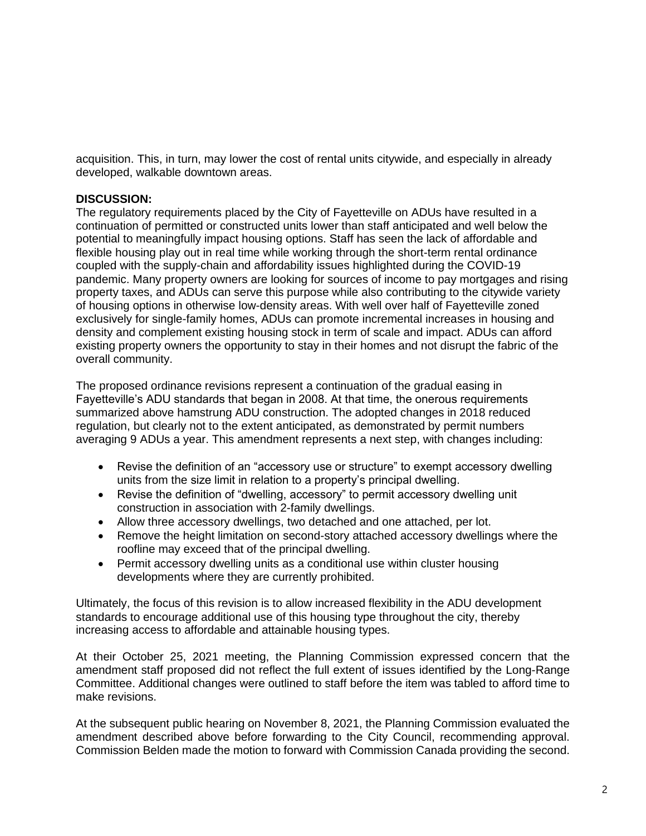acquisition. This, in turn, may lower the cost of rental units citywide, and especially in already developed, walkable downtown areas.

### **DISCUSSION:**

The regulatory requirements placed by the City of Fayetteville on ADUs have resulted in a continuation of permitted or constructed units lower than staff anticipated and well below the potential to meaningfully impact housing options. Staff has seen the lack of affordable and flexible housing play out in real time while working through the short-term rental ordinance coupled with the supply-chain and affordability issues highlighted during the COVID-19 pandemic. Many property owners are looking for sources of income to pay mortgages and rising property taxes, and ADUs can serve this purpose while also contributing to the citywide variety of housing options in otherwise low-density areas. With well over half of Fayetteville zoned exclusively for single-family homes, ADUs can promote incremental increases in housing and density and complement existing housing stock in term of scale and impact. ADUs can afford existing property owners the opportunity to stay in their homes and not disrupt the fabric of the overall community.

The proposed ordinance revisions represent a continuation of the gradual easing in Fayetteville's ADU standards that began in 2008. At that time, the onerous requirements summarized above hamstrung ADU construction. The adopted changes in 2018 reduced regulation, but clearly not to the extent anticipated, as demonstrated by permit numbers averaging 9 ADUs a year. This amendment represents a next step, with changes including:

- Revise the definition of an "accessory use or structure" to exempt accessory dwelling units from the size limit in relation to a property's principal dwelling.
- Revise the definition of "dwelling, accessory" to permit accessory dwelling unit construction in association with 2-family dwellings.
- Allow three accessory dwellings, two detached and one attached, per lot.
- Remove the height limitation on second-story attached accessory dwellings where the roofline may exceed that of the principal dwelling.
- Permit accessory dwelling units as a conditional use within cluster housing developments where they are currently prohibited.

Ultimately, the focus of this revision is to allow increased flexibility in the ADU development standards to encourage additional use of this housing type throughout the city, thereby increasing access to affordable and attainable housing types.

At their October 25, 2021 meeting, the Planning Commission expressed concern that the amendment staff proposed did not reflect the full extent of issues identified by the Long-Range Committee. Additional changes were outlined to staff before the item was tabled to afford time to make revisions.

At the subsequent public hearing on November 8, 2021, the Planning Commission evaluated the amendment described above before forwarding to the City Council, recommending approval. Commission Belden made the motion to forward with Commission Canada providing the second.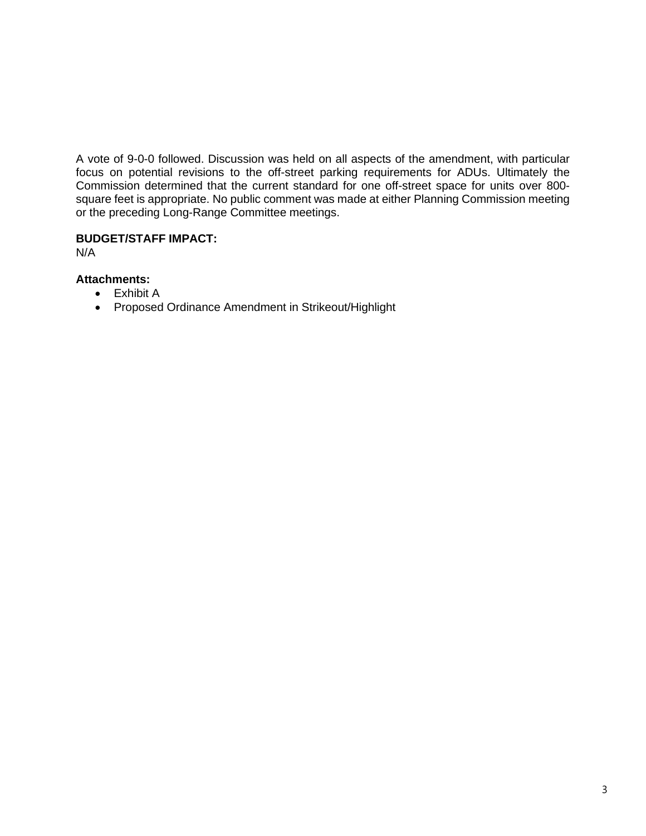A vote of 9-0-0 followed. Discussion was held on all aspects of the amendment, with particular focus on potential revisions to the off-street parking requirements for ADUs. Ultimately the Commission determined that the current standard for one off-street space for units over 800 square feet is appropriate. No public comment was made at either Planning Commission meeting or the preceding Long-Range Committee meetings.

# **BUDGET/STAFF IMPACT:**

N/A

- **Attachments:**
	- Exhibit A
	- Proposed Ordinance Amendment in Strikeout/Highlight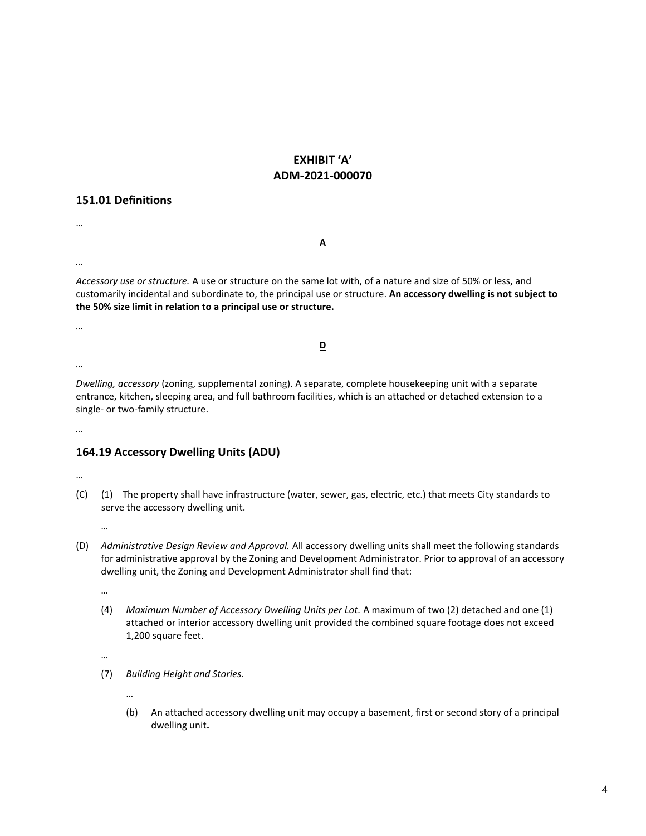# **EXHIBIT 'A' ADM-2021-000070**

### **151.01 Definitions**

**A**

*…*

…

*Accessory use or structure.* A use or structure on the same lot with, of a nature and size of 50% or less, and customarily incidental and subordinate to, the principal use or structure. **An accessory dwelling is not subject to the 50% size limit in relation to a principal use or structure.**

*…*

**D**

*…*

*Dwelling, accessory* (zoning, supplemental zoning). A separate, complete housekeeping unit with a separate entrance, kitchen, sleeping area, and full bathroom facilities, which is an attached or detached extension to a single- or two-family structure.

*…*

# **164.19 Accessory Dwelling Units (ADU)**

…

(C) (1) The property shall have infrastructure (water, sewer, gas, electric, etc.) that meets City standards to serve the accessory dwelling unit.

…

(D) *Administrative Design Review and Approval.* All accessory dwelling units shall meet the following standards for administrative approval by the Zoning and Development Administrator. Prior to approval of an accessory dwelling unit, the Zoning and Development Administrator shall find that:

…

(4) *Maximum Number of Accessory Dwelling Units per Lot.* A maximum of two (2) detached and one (1) attached or interior accessory dwelling unit provided the combined square footage does not exceed 1,200 square feet.

…

(7) *Building Height and Stories.*

…

(b) An attached accessory dwelling unit may occupy a basement, first or second story of a principal dwelling unit**.**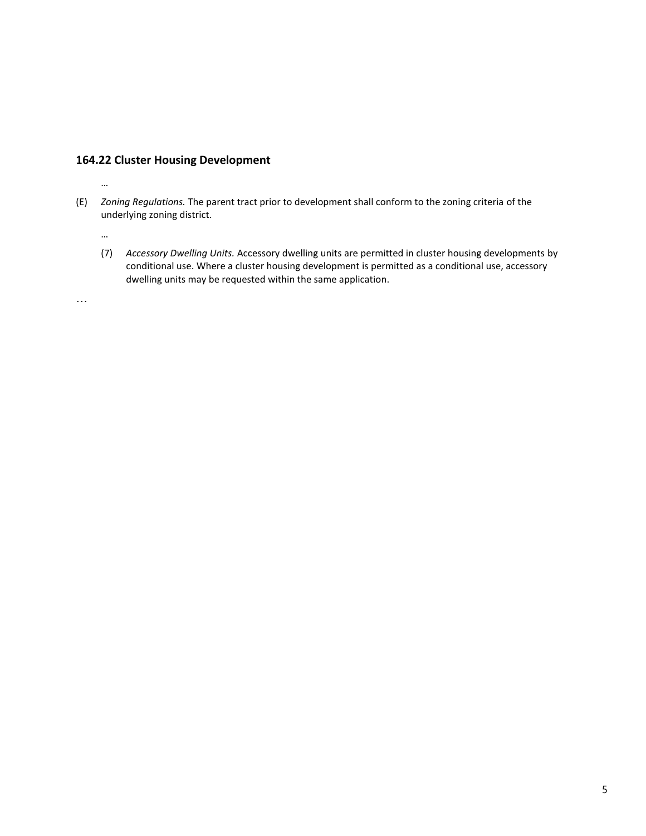### **164.22 Cluster Housing Development**

- (E) *Zoning Regulations.* The parent tract prior to development shall conform to the zoning criteria of the underlying zoning district.
	- (7) *Accessory Dwelling Units.* Accessory dwelling units are permitted in cluster housing developments by conditional use. Where a cluster housing development is permitted as a conditional use, accessory dwelling units may be requested within the same application.

…

…

…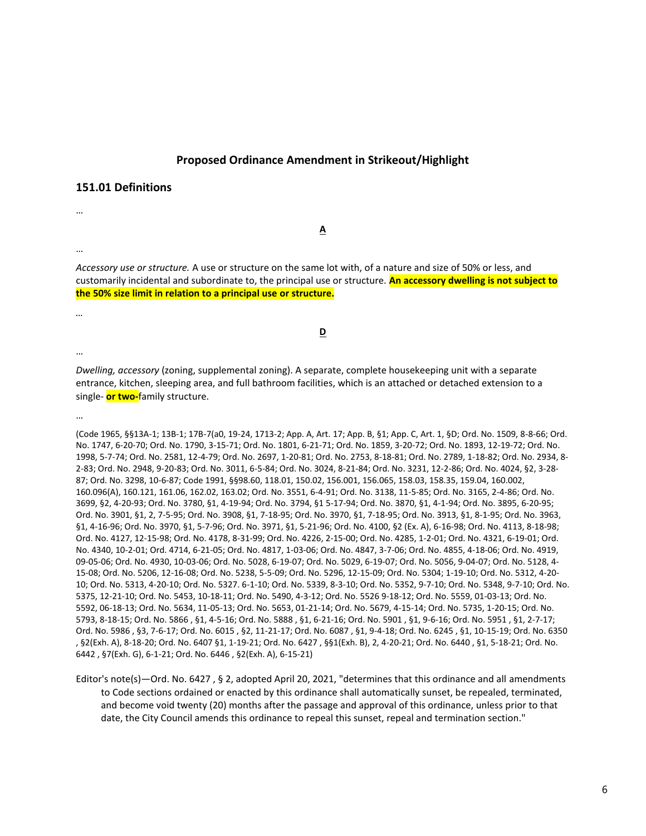#### **Proposed Ordinance Amendment in Strikeout/Highlight**

**A**

#### **151.01 Definitions**

…

…

*Accessory use or structure.* A use or structure on the same lot with, of a nature and size of 50% or less, and customarily incidental and subordinate to, the principal use or structure. **An accessory dwelling is not subject to the 50% size limit in relation to a principal use or structure.**

**D**

…

*…*

*Dwelling, accessory* (zoning, supplemental zoning). A separate, complete housekeeping unit with a separate entrance, kitchen, sleeping area, and full bathroom facilities, which is an attached or detached extension to a single- **or two-**family structure.

…

(Code 1965, §§13A-1; 13B-1; 17B-7(a0, 19-24, 1713-2; App. A, Art. 17; App. B, §1; App. C, Art. 1, §D; Ord. No. 1509, 8-8-66; Ord. No. 1747, 6-20-70; Ord. No. 1790, 3-15-71; Ord. No. 1801, 6-21-71; Ord. No. 1859, 3-20-72; Ord. No. 1893, 12-19-72; Ord. No. 1998, 5-7-74; Ord. No. 2581, 12-4-79; Ord. No. 2697, 1-20-81; Ord. No. 2753, 8-18-81; Ord. No. 2789, 1-18-82; Ord. No. 2934, 8- 2-83; Ord. No. 2948, 9-20-83; Ord. No. 3011, 6-5-84; Ord. No. 3024, 8-21-84; Ord. No. 3231, 12-2-86; Ord. No. 4024, §2, 3-28- 87; Ord. No. 3298, 10-6-87; Code 1991, §§98.60, 118.01, 150.02, 156.001, 156.065, 158.03, 158.35, 159.04, 160.002, 160.096(A), 160.121, 161.06, 162.02, 163.02; Ord. No. 3551, 6-4-91; Ord. No. 3138, 11-5-85; Ord. No. 3165, 2-4-86; Ord. No. 3699, §2, 4-20-93; Ord. No. 3780, §1, 4-19-94; Ord. No. 3794, §1 5-17-94; Ord. No. 3870, §1, 4-1-94; Ord. No. 3895, 6-20-95; Ord. No. 3901, §1, 2, 7-5-95; Ord. No. 3908, §1, 7-18-95; Ord. No. 3970, §1, 7-18-95; Ord. No. 3913, §1, 8-1-95; Ord. No. 3963, §1, 4-16-96; Ord. No. 3970, §1, 5-7-96; Ord. No. 3971, §1, 5-21-96; Ord. No. 4100, §2 (Ex. A), 6-16-98; Ord. No. 4113, 8-18-98; Ord. No. 4127, 12-15-98; Ord. No. 4178, 8-31-99; Ord. No. 4226, 2-15-00; Ord. No. 4285, 1-2-01; Ord. No. 4321, 6-19-01; Ord. No. 4340, 10-2-01; Ord. 4714, 6-21-05; Ord. No. 4817, 1-03-06; Ord. No. 4847, 3-7-06; Ord. No. 4855, 4-18-06; Ord. No. 4919, 09-05-06; Ord. No. 4930, 10-03-06; Ord. No. 5028, 6-19-07; Ord. No. 5029, 6-19-07; Ord. No. 5056, 9-04-07; Ord. No. 5128, 4- 15-08; Ord. No. 5206, 12-16-08; Ord. No. 5238, 5-5-09; Ord. No. 5296, 12-15-09; Ord. No. 5304; 1-19-10; Ord. No. 5312, 4-20- 10; Ord. No. 5313, 4-20-10; Ord. No. 5327. 6-1-10; Ord. No. 5339, 8-3-10; Ord. No. 5352, 9-7-10; Ord. No. 5348, 9-7-10; Ord. No. 5375, 12-21-10; Ord. No. 5453, 10-18-11; Ord. No. 5490, 4-3-12; Ord. No. 5526 9-18-12; Ord. No. 5559, 01-03-13; Ord. No. 5592, 06-18-13; Ord. No. 5634, 11-05-13; Ord. No. 5653, 01-21-14; Ord. No. 5679, 4-15-14; Ord. No. 5735, 1-20-15; Ord. No. 5793, 8-18-15; Ord. No. 5866 , §1, 4-5-16; Ord. No. 5888 , §1, 6-21-16; Ord. No. 5901 , §1, 9-6-16; Ord. No. 5951 , §1, 2-7-17; Ord. No. 5986 , §3, 7-6-17; Ord. No. 6015 , §2, 11-21-17; Ord. No. 6087 , §1, 9-4-18; Ord. No. 6245 , §1, 10-15-19; Ord. No. 6350 , §2(Exh. A), 8-18-20; Ord. No. 6407 §1, 1-19-21; Ord. No. 6427 , §§1(Exh. B), 2, 4-20-21; Ord. No. 6440 , §1, 5-18-21; Ord. No. 6442 , §7(Exh. G), 6-1-21; Ord. No. 6446 , §2(Exh. A), 6-15-21)

Editor's note(s)—Ord. No. 6427 , § 2, adopted April 20, 2021, "determines that this ordinance and all amendments to Code sections ordained or enacted by this ordinance shall automatically sunset, be repealed, terminated, and become void twenty (20) months after the passage and approval of this ordinance, unless prior to that date, the City Council amends this ordinance to repeal this sunset, repeal and termination section."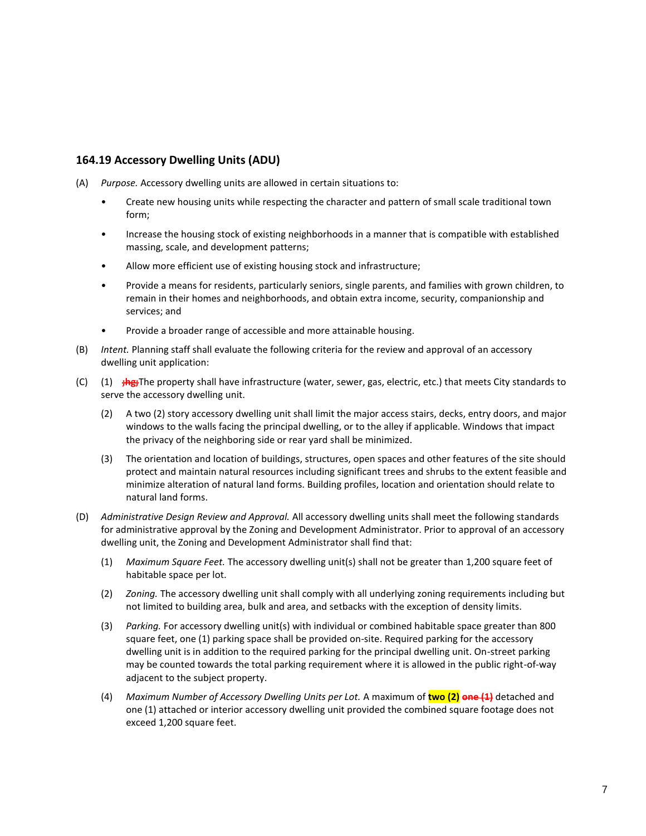# **164.19 Accessory Dwelling Units (ADU)**

- (A) *Purpose.* Accessory dwelling units are allowed in certain situations to:
	- Create new housing units while respecting the character and pattern of small scale traditional town form;
	- Increase the housing stock of existing neighborhoods in a manner that is compatible with established massing, scale, and development patterns;
	- Allow more efficient use of existing housing stock and infrastructure;
	- Provide a means for residents, particularly seniors, single parents, and families with grown children, to remain in their homes and neighborhoods, and obtain extra income, security, companionship and services; and
	- Provide a broader range of accessible and more attainable housing.
- (B) *Intent.* Planning staff shall evaluate the following criteria for the review and approval of an accessory dwelling unit application:
- (C) (1) **;hg;**The property shall have infrastructure (water, sewer, gas, electric, etc.) that meets City standards to serve the accessory dwelling unit.
	- (2) A two (2) story accessory dwelling unit shall limit the major access stairs, decks, entry doors, and major windows to the walls facing the principal dwelling, or to the alley if applicable. Windows that impact the privacy of the neighboring side or rear yard shall be minimized.
	- (3) The orientation and location of buildings, structures, open spaces and other features of the site should protect and maintain natural resources including significant trees and shrubs to the extent feasible and minimize alteration of natural land forms. Building profiles, location and orientation should relate to natural land forms.
- (D) *Administrative Design Review and Approval.* All accessory dwelling units shall meet the following standards for administrative approval by the Zoning and Development Administrator. Prior to approval of an accessory dwelling unit, the Zoning and Development Administrator shall find that:
	- (1) *Maximum Square Feet.* The accessory dwelling unit(s) shall not be greater than 1,200 square feet of habitable space per lot.
	- (2) *Zoning.* The accessory dwelling unit shall comply with all underlying zoning requirements including but not limited to building area, bulk and area, and setbacks with the exception of density limits.
	- (3) *Parking.* For accessory dwelling unit(s) with individual or combined habitable space greater than 800 square feet, one (1) parking space shall be provided on-site. Required parking for the accessory dwelling unit is in addition to the required parking for the principal dwelling unit. On-street parking may be counted towards the total parking requirement where it is allowed in the public right-of-way adjacent to the subject property.
	- (4) *Maximum Number of Accessory Dwelling Units per Lot.* A maximum of **two (2) one (1)** detached and one (1) attached or interior accessory dwelling unit provided the combined square footage does not exceed 1,200 square feet.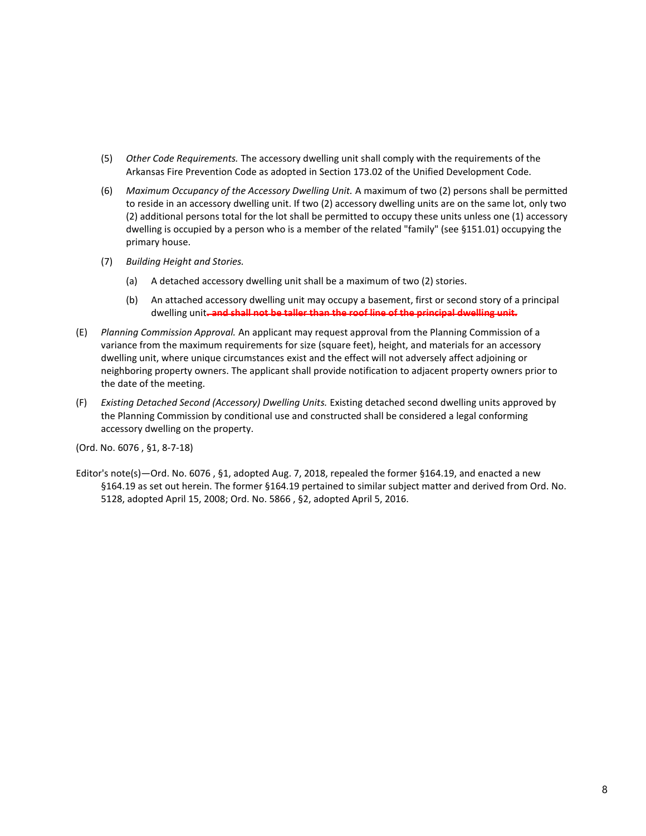- (5) *Other Code Requirements.* The accessory dwelling unit shall comply with the requirements of the Arkansas Fire Prevention Code as adopted in Section 173.02 of the Unified Development Code.
- (6) *Maximum Occupancy of the Accessory Dwelling Unit.* A maximum of two (2) persons shall be permitted to reside in an accessory dwelling unit. If two (2) accessory dwelling units are on the same lot, only two (2) additional persons total for the lot shall be permitted to occupy these units unless one (1) accessory dwelling is occupied by a person who is a member of the related "family" (see §151.01) occupying the primary house.
- (7) *Building Height and Stories.*
	- (a) A detached accessory dwelling unit shall be a maximum of two (2) stories.
	- (b) An attached accessory dwelling unit may occupy a basement, first or second story of a principal dwelling unit**. and shall not be taller than the roof line of the principal dwelling unit.**
- (E) *Planning Commission Approval.* An applicant may request approval from the Planning Commission of a variance from the maximum requirements for size (square feet), height, and materials for an accessory dwelling unit, where unique circumstances exist and the effect will not adversely affect adjoining or neighboring property owners. The applicant shall provide notification to adjacent property owners prior to the date of the meeting.
- (F) *Existing Detached Second (Accessory) Dwelling Units.* Existing detached second dwelling units approved by the Planning Commission by conditional use and constructed shall be considered a legal conforming accessory dwelling on the property.

(Ord. No. 6076 , §1, 8-7-18)

Editor's note(s)—Ord. No. 6076 , §1, adopted Aug. 7, 2018, repealed the former §164.19, and enacted a new §164.19 as set out herein. The former §164.19 pertained to similar subject matter and derived from Ord. No. 5128, adopted April 15, 2008; Ord. No. 5866 , §2, adopted April 5, 2016.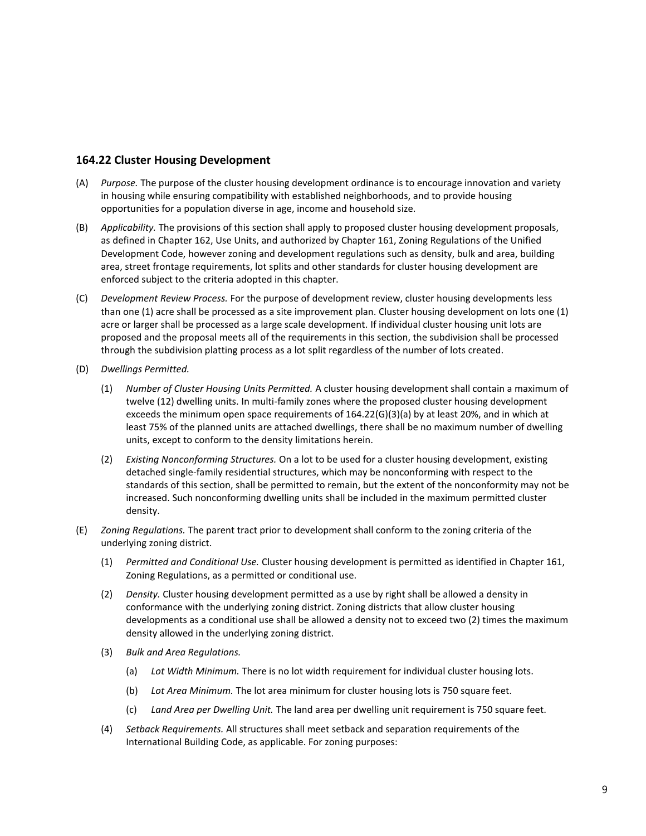### **164.22 Cluster Housing Development**

- (A) *Purpose.* The purpose of the cluster housing development ordinance is to encourage innovation and variety in housing while ensuring compatibility with established neighborhoods, and to provide housing opportunities for a population diverse in age, income and household size.
- (B) *Applicability.* The provisions of this section shall apply to proposed cluster housing development proposals, as defined in Chapter 162, Use Units, and authorized by Chapter 161, Zoning Regulations of the Unified Development Code, however zoning and development regulations such as density, bulk and area, building area, street frontage requirements, lot splits and other standards for cluster housing development are enforced subject to the criteria adopted in this chapter.
- (C) *Development Review Process.* For the purpose of development review, cluster housing developments less than one (1) acre shall be processed as a site improvement plan. Cluster housing development on lots one (1) acre or larger shall be processed as a large scale development. If individual cluster housing unit lots are proposed and the proposal meets all of the requirements in this section, the subdivision shall be processed through the subdivision platting process as a lot split regardless of the number of lots created.
- (D) *Dwellings Permitted.*
	- (1) *Number of Cluster Housing Units Permitted.* A cluster housing development shall contain a maximum of twelve (12) dwelling units. In multi-family zones where the proposed cluster housing development exceeds the minimum open space requirements of 164.22(G)(3)(a) by at least 20%, and in which at least 75% of the planned units are attached dwellings, there shall be no maximum number of dwelling units, except to conform to the density limitations herein.
	- (2) *Existing Nonconforming Structures.* On a lot to be used for a cluster housing development, existing detached single-family residential structures, which may be nonconforming with respect to the standards of this section, shall be permitted to remain, but the extent of the nonconformity may not be increased. Such nonconforming dwelling units shall be included in the maximum permitted cluster density.
- (E) *Zoning Regulations.* The parent tract prior to development shall conform to the zoning criteria of the underlying zoning district.
	- (1) *Permitted and Conditional Use.* Cluster housing development is permitted as identified in Chapter 161, Zoning Regulations, as a permitted or conditional use.
	- (2) *Density.* Cluster housing development permitted as a use by right shall be allowed a density in conformance with the underlying zoning district. Zoning districts that allow cluster housing developments as a conditional use shall be allowed a density not to exceed two (2) times the maximum density allowed in the underlying zoning district.
	- (3) *Bulk and Area Regulations.*
		- (a) *Lot Width Minimum.* There is no lot width requirement for individual cluster housing lots.
		- (b) *Lot Area Minimum.* The lot area minimum for cluster housing lots is 750 square feet.
		- (c) *Land Area per Dwelling Unit.* The land area per dwelling unit requirement is 750 square feet.
	- (4) *Setback Requirements.* All structures shall meet setback and separation requirements of the International Building Code, as applicable. For zoning purposes: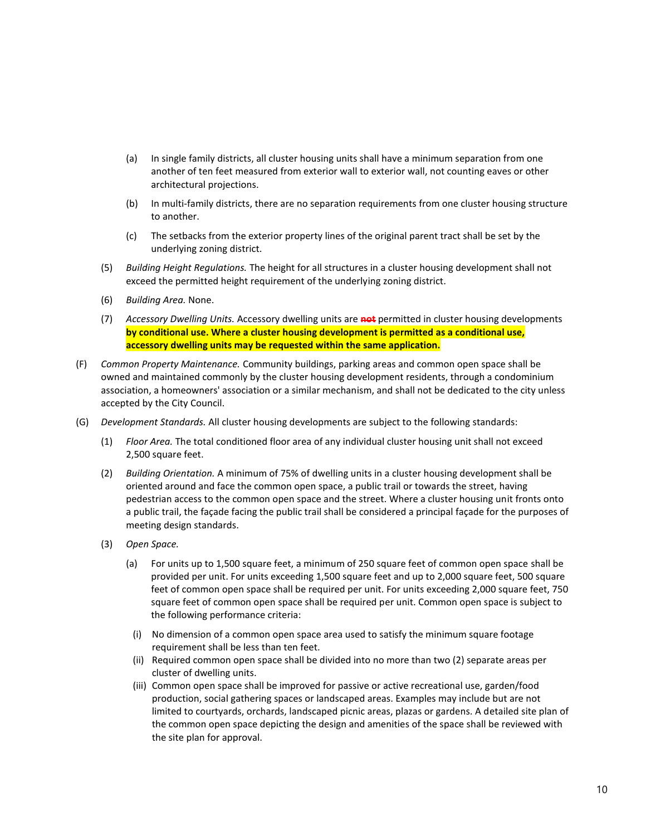- (a) In single family districts, all cluster housing units shall have a minimum separation from one another of ten feet measured from exterior wall to exterior wall, not counting eaves or other architectural projections.
- (b) In multi-family districts, there are no separation requirements from one cluster housing structure to another.
- (c) The setbacks from the exterior property lines of the original parent tract shall be set by the underlying zoning district.
- (5) *Building Height Regulations.* The height for all structures in a cluster housing development shall not exceed the permitted height requirement of the underlying zoning district.
- (6) *Building Area.* None.
- (7) *Accessory Dwelling Units.* Accessory dwelling units are **not** permitted in cluster housing developments **by conditional use. Where a cluster housing development is permitted as a conditional use, accessory dwelling units may be requested within the same application.**
- (F) *Common Property Maintenance.* Community buildings, parking areas and common open space shall be owned and maintained commonly by the cluster housing development residents, through a condominium association, a homeowners' association or a similar mechanism, and shall not be dedicated to the city unless accepted by the City Council.
- (G) *Development Standards.* All cluster housing developments are subject to the following standards:
	- (1) *Floor Area.* The total conditioned floor area of any individual cluster housing unit shall not exceed 2,500 square feet.
	- (2) *Building Orientation.* A minimum of 75% of dwelling units in a cluster housing development shall be oriented around and face the common open space, a public trail or towards the street, having pedestrian access to the common open space and the street. Where a cluster housing unit fronts onto a public trail, the façade facing the public trail shall be considered a principal façade for the purposes of meeting design standards.
	- (3) *Open Space.*
		- (a) For units up to 1,500 square feet, a minimum of 250 square feet of common open space shall be provided per unit. For units exceeding 1,500 square feet and up to 2,000 square feet, 500 square feet of common open space shall be required per unit. For units exceeding 2,000 square feet, 750 square feet of common open space shall be required per unit. Common open space is subject to the following performance criteria:
			- (i) No dimension of a common open space area used to satisfy the minimum square footage requirement shall be less than ten feet.
			- (ii) Required common open space shall be divided into no more than two (2) separate areas per cluster of dwelling units.
			- (iii) Common open space shall be improved for passive or active recreational use, garden/food production, social gathering spaces or landscaped areas. Examples may include but are not limited to courtyards, orchards, landscaped picnic areas, plazas or gardens. A detailed site plan of the common open space depicting the design and amenities of the space shall be reviewed with the site plan for approval.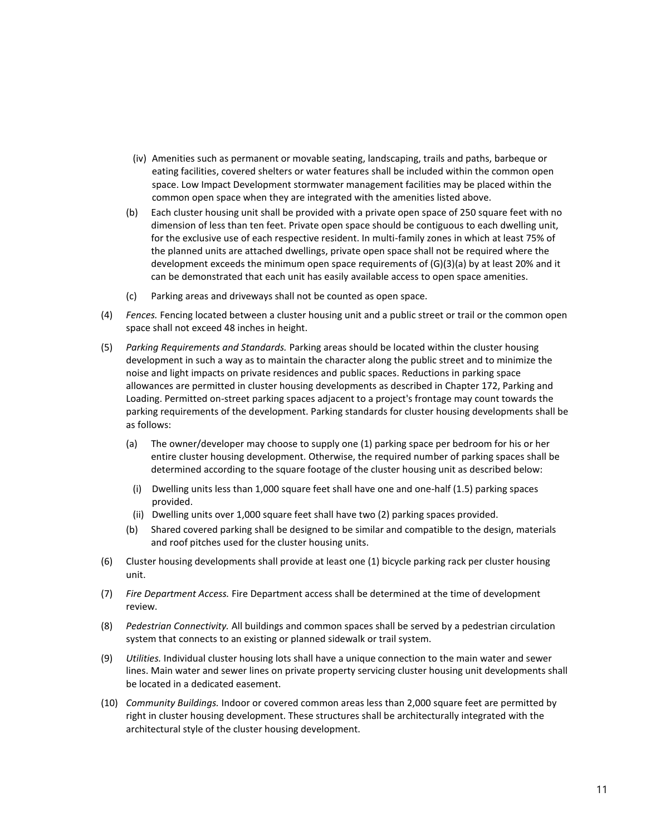- (iv) Amenities such as permanent or movable seating, landscaping, trails and paths, barbeque or eating facilities, covered shelters or water features shall be included within the common open space. Low Impact Development stormwater management facilities may be placed within the common open space when they are integrated with the amenities listed above.
- (b) Each cluster housing unit shall be provided with a private open space of 250 square feet with no dimension of less than ten feet. Private open space should be contiguous to each dwelling unit, for the exclusive use of each respective resident. In multi-family zones in which at least 75% of the planned units are attached dwellings, private open space shall not be required where the development exceeds the minimum open space requirements of  $(G)(3)(a)$  by at least 20% and it can be demonstrated that each unit has easily available access to open space amenities.
- (c) Parking areas and driveways shall not be counted as open space.
- (4) *Fences.* Fencing located between a cluster housing unit and a public street or trail or the common open space shall not exceed 48 inches in height.
- (5) *Parking Requirements and Standards.* Parking areas should be located within the cluster housing development in such a way as to maintain the character along the public street and to minimize the noise and light impacts on private residences and public spaces. Reductions in parking space allowances are permitted in cluster housing developments as described in Chapter 172, Parking and Loading. Permitted on-street parking spaces adjacent to a project's frontage may count towards the parking requirements of the development. Parking standards for cluster housing developments shall be as follows:
	- (a) The owner/developer may choose to supply one (1) parking space per bedroom for his or her entire cluster housing development. Otherwise, the required number of parking spaces shall be determined according to the square footage of the cluster housing unit as described below:
	- (i) Dwelling units less than 1,000 square feet shall have one and one-half (1.5) parking spaces provided.
	- (ii) Dwelling units over 1,000 square feet shall have two (2) parking spaces provided.
	- (b) Shared covered parking shall be designed to be similar and compatible to the design, materials and roof pitches used for the cluster housing units.
- (6) Cluster housing developments shall provide at least one (1) bicycle parking rack per cluster housing unit.
- (7) *Fire Department Access.* Fire Department access shall be determined at the time of development review.
- (8) *Pedestrian Connectivity.* All buildings and common spaces shall be served by a pedestrian circulation system that connects to an existing or planned sidewalk or trail system.
- (9) *Utilities.* Individual cluster housing lots shall have a unique connection to the main water and sewer lines. Main water and sewer lines on private property servicing cluster housing unit developments shall be located in a dedicated easement.
- (10) *Community Buildings.* Indoor or covered common areas less than 2,000 square feet are permitted by right in cluster housing development. These structures shall be architecturally integrated with the architectural style of the cluster housing development.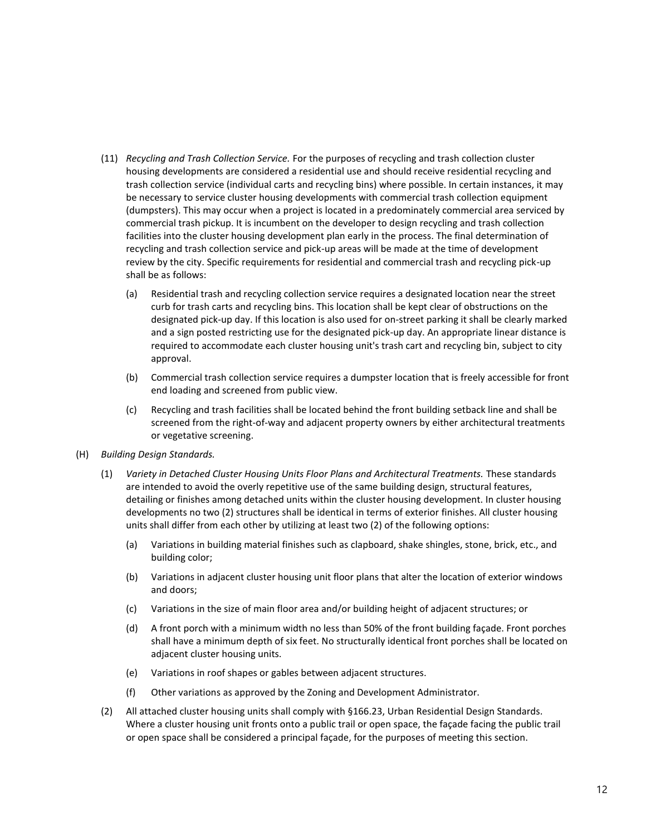- (11) *Recycling and Trash Collection Service.* For the purposes of recycling and trash collection cluster housing developments are considered a residential use and should receive residential recycling and trash collection service (individual carts and recycling bins) where possible. In certain instances, it may be necessary to service cluster housing developments with commercial trash collection equipment (dumpsters). This may occur when a project is located in a predominately commercial area serviced by commercial trash pickup. It is incumbent on the developer to design recycling and trash collection facilities into the cluster housing development plan early in the process. The final determination of recycling and trash collection service and pick-up areas will be made at the time of development review by the city. Specific requirements for residential and commercial trash and recycling pick-up shall be as follows:
	- (a) Residential trash and recycling collection service requires a designated location near the street curb for trash carts and recycling bins. This location shall be kept clear of obstructions on the designated pick-up day. If this location is also used for on-street parking it shall be clearly marked and a sign posted restricting use for the designated pick-up day. An appropriate linear distance is required to accommodate each cluster housing unit's trash cart and recycling bin, subject to city approval.
	- (b) Commercial trash collection service requires a dumpster location that is freely accessible for front end loading and screened from public view.
	- (c) Recycling and trash facilities shall be located behind the front building setback line and shall be screened from the right-of-way and adjacent property owners by either architectural treatments or vegetative screening.
- (H) *Building Design Standards.*
	- (1) *Variety in Detached Cluster Housing Units Floor Plans and Architectural Treatments.* These standards are intended to avoid the overly repetitive use of the same building design, structural features, detailing or finishes among detached units within the cluster housing development. In cluster housing developments no two (2) structures shall be identical in terms of exterior finishes. All cluster housing units shall differ from each other by utilizing at least two (2) of the following options:
		- (a) Variations in building material finishes such as clapboard, shake shingles, stone, brick, etc., and building color;
		- (b) Variations in adjacent cluster housing unit floor plans that alter the location of exterior windows and doors;
		- (c) Variations in the size of main floor area and/or building height of adjacent structures; or
		- (d) A front porch with a minimum width no less than 50% of the front building façade. Front porches shall have a minimum depth of six feet. No structurally identical front porches shall be located on adjacent cluster housing units.
		- (e) Variations in roof shapes or gables between adjacent structures.
		- (f) Other variations as approved by the Zoning and Development Administrator.
	- (2) All attached cluster housing units shall comply with §166.23, Urban Residential Design Standards. Where a cluster housing unit fronts onto a public trail or open space, the façade facing the public trail or open space shall be considered a principal façade, for the purposes of meeting this section.